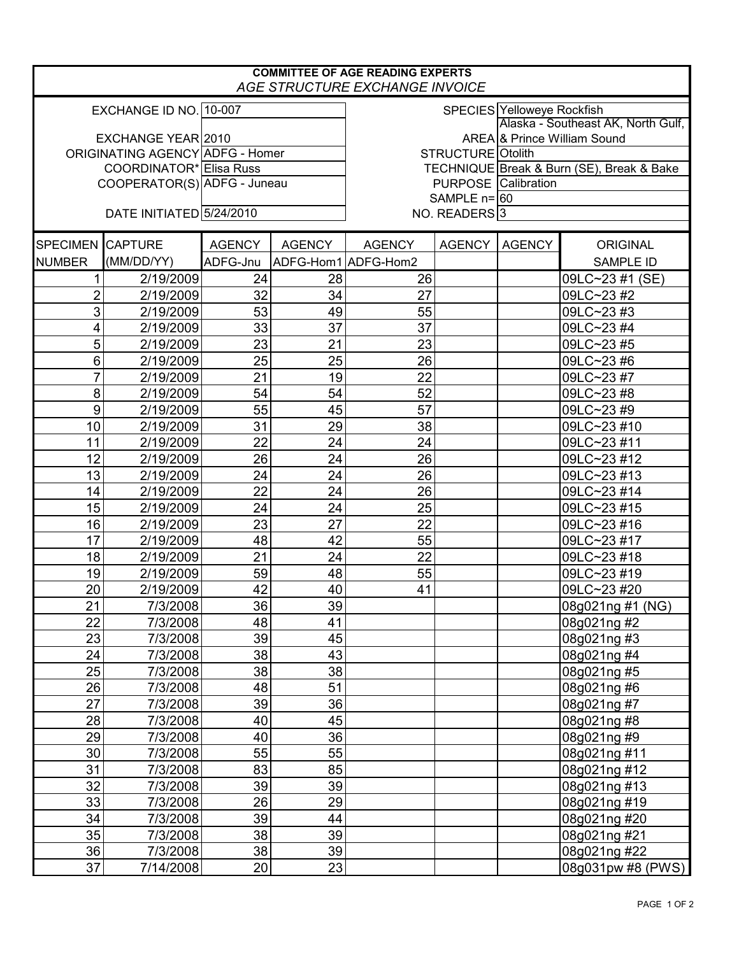| <b>COMMITTEE OF AGE READING EXPERTS</b><br>AGE STRUCTURE EXCHANGE INVOICE |                          |               |                     |                                                  |               |                                    |                   |  |  |  |
|---------------------------------------------------------------------------|--------------------------|---------------|---------------------|--------------------------------------------------|---------------|------------------------------------|-------------------|--|--|--|
| EXCHANGE ID NO. 10-007                                                    |                          |               |                     | SPECIES Yelloweye Rockfish                       |               |                                    |                   |  |  |  |
|                                                                           |                          |               |                     |                                                  |               | Alaska - Southeast AK, North Gulf, |                   |  |  |  |
| EXCHANGE YEAR 2010<br>ORIGINATING AGENCY ADFG - Homer                     |                          |               |                     | AREA & Prince William Sound<br>STRUCTURE Otolith |               |                                    |                   |  |  |  |
| COORDINATOR* Elisa Russ                                                   |                          |               |                     | TECHNIQUE Break & Burn (SE), Break & Bake        |               |                                    |                   |  |  |  |
| COOPERATOR(S) ADFG - Juneau                                               |                          |               |                     | <b>PURPOSE</b> Calibration                       |               |                                    |                   |  |  |  |
|                                                                           |                          |               |                     | SAMPLE $n = 60$                                  |               |                                    |                   |  |  |  |
|                                                                           | DATE INITIATED 5/24/2010 |               |                     | NO. READERS <sup>3</sup>                         |               |                                    |                   |  |  |  |
| SPECIMEN CAPTURE                                                          |                          | <b>AGENCY</b> | <b>AGENCY</b>       | <b>AGENCY</b>                                    | <b>AGENCY</b> | <b>AGENCY</b>                      | <b>ORIGINAL</b>   |  |  |  |
| <b>NUMBER</b>                                                             | (MM/DD/YY)               | ADFG-Jnu      | ADFG-Hom1 ADFG-Hom2 |                                                  |               |                                    | <b>SAMPLE ID</b>  |  |  |  |
| 1                                                                         | 2/19/2009                | 24            | 28                  | 26                                               |               |                                    | 09LC~23 #1 (SE)   |  |  |  |
| $\overline{c}$                                                            | 2/19/2009                | 32            | 34                  | 27                                               |               |                                    | 09LC~23 #2        |  |  |  |
| 3                                                                         | 2/19/2009                | 53            | 49                  | 55                                               |               |                                    | 09LC~23#3         |  |  |  |
| 4                                                                         | 2/19/2009                | 33            | 37                  | 37                                               |               |                                    | 09LC~23 #4        |  |  |  |
| 5                                                                         | 2/19/2009                | 23            | 21                  | 23                                               |               |                                    | 09LC~23 #5        |  |  |  |
| 6                                                                         | 2/19/2009                | 25            | 25                  | 26                                               |               |                                    | 09LC~23 #6        |  |  |  |
| $\overline{7}$                                                            | 2/19/2009                | 21            | 19                  | 22                                               |               |                                    | 09LC~23#7         |  |  |  |
| 8                                                                         | 2/19/2009                | 54            | 54                  | 52                                               |               |                                    | 09LC~23 #8        |  |  |  |
| $\boldsymbol{9}$                                                          | 2/19/2009                | 55            | 45                  | 57                                               |               |                                    | 09LC~23 #9        |  |  |  |
| 10                                                                        | 2/19/2009                | 31            | 29                  | 38                                               |               |                                    | 09LC~23 #10       |  |  |  |
| 11                                                                        | 2/19/2009                | 22            | 24                  | 24                                               |               |                                    | 09LC~23 #11       |  |  |  |
| 12                                                                        | 2/19/2009                | 26            | 24                  | 26                                               |               |                                    | 09LC~23 #12       |  |  |  |
| 13                                                                        | 2/19/2009                | 24            | 24                  | 26                                               |               |                                    | 09LC~23 #13       |  |  |  |
| 14                                                                        | 2/19/2009                | 22            | 24                  | 26                                               |               |                                    | 09LC~23 #14       |  |  |  |
| 15                                                                        | 2/19/2009                | 24            | 24                  | 25                                               |               |                                    | 09LC~23 #15       |  |  |  |
| 16                                                                        | 2/19/2009                | 23            | 27                  | 22                                               |               |                                    | 09LC~23 #16       |  |  |  |
| 17                                                                        | 2/19/2009                | 48            | 42                  | 55                                               |               |                                    | 09LC~23 #17       |  |  |  |
| 18                                                                        | 2/19/2009                | 21            | 24                  | 22                                               |               |                                    | 09LC~23 #18       |  |  |  |
| 19                                                                        | 2/19/2009                | 59            | 48                  | 55                                               |               |                                    | 09LC~23 #19       |  |  |  |
| 20                                                                        | 2/19/2009                | 42            | 40                  | 41                                               |               |                                    | 09LC~23 #20       |  |  |  |
| 21                                                                        | 7/3/2008                 | 36            | 39                  |                                                  |               |                                    | 08g021ng #1 (NG)  |  |  |  |
| 22                                                                        | 7/3/2008                 | 48            | 41                  |                                                  |               |                                    | 08g021ng #2       |  |  |  |
| 23                                                                        | 7/3/2008                 | 39            | 45                  |                                                  |               |                                    | 08g021ng #3       |  |  |  |
| 24                                                                        | 7/3/2008                 | 38            | 43                  |                                                  |               |                                    | 08g021ng #4       |  |  |  |
| 25                                                                        | 7/3/2008                 | 38            | 38                  |                                                  |               |                                    | 08g021ng #5       |  |  |  |
| 26                                                                        | 7/3/2008                 | 48            | 51                  |                                                  |               |                                    | 08g021ng #6       |  |  |  |
| 27                                                                        | 7/3/2008                 | 39            | 36                  |                                                  |               |                                    | 08g021ng #7       |  |  |  |
| 28                                                                        | 7/3/2008                 | 40            | 45                  |                                                  |               |                                    | 08g021ng #8       |  |  |  |
| 29                                                                        | 7/3/2008                 | 40            | 36                  |                                                  |               |                                    | 08g021ng #9       |  |  |  |
| 30                                                                        | 7/3/2008                 | 55            | 55                  |                                                  |               |                                    | 08g021ng #11      |  |  |  |
| 31                                                                        | 7/3/2008                 | 83            | 85                  |                                                  |               |                                    | 08g021ng #12      |  |  |  |
| 32                                                                        | 7/3/2008                 | 39            | 39                  |                                                  |               |                                    | 08g021ng #13      |  |  |  |
| 33                                                                        | 7/3/2008                 | 26            | 29                  |                                                  |               |                                    | 08g021ng #19      |  |  |  |
| 34                                                                        | 7/3/2008                 | 39            | 44                  |                                                  |               |                                    | 08g021ng #20      |  |  |  |
| 35                                                                        | 7/3/2008                 | 38            | 39                  |                                                  |               |                                    | 08g021ng #21      |  |  |  |
| 36                                                                        | 7/3/2008                 | 38            | 39                  |                                                  |               |                                    | 08g021ng #22      |  |  |  |
| 37                                                                        | 7/14/2008                | 20            | 23                  |                                                  |               |                                    | 08g031pw #8 (PWS) |  |  |  |